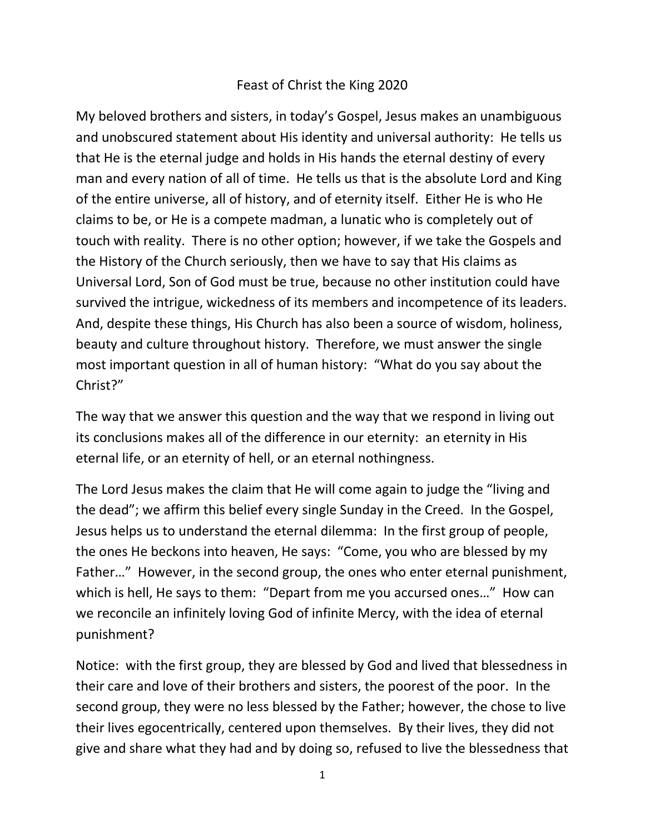## Feast of Christ the King 2020

My beloved brothers and sisters, in today's Gospel, Jesus makes an unambiguous and unobscured statement about His identity and universal authority: He tells us that He is the eternal judge and holds in His hands the eternal destiny of every man and every nation of all of time. He tells us that is the absolute Lord and King of the entire universe, all of history, and of eternity itself. Either He is who He claims to be, or He is a compete madman, a lunatic who is completely out of touch with reality. There is no other option; however, if we take the Gospels and the History of the Church seriously, then we have to say that His claims as Universal Lord, Son of God must be true, because no other institution could have survived the intrigue, wickedness of its members and incompetence of its leaders. And, despite these things, His Church has also been a source of wisdom, holiness, beauty and culture throughout history. Therefore, we must answer the single most important question in all of human history: "What do you say about the Christ?"

The way that we answer this question and the way that we respond in living out its conclusions makes all of the difference in our eternity: an eternity in His eternal life, or an eternity of hell, or an eternal nothingness.

The Lord Jesus makes the claim that He will come again to judge the "living and the dead"; we affirm this belief every single Sunday in the Creed. In the Gospel, Jesus helps us to understand the eternal dilemma: In the first group of people, the ones He beckons into heaven, He says: "Come, you who are blessed by my Father…" However, in the second group, the ones who enter eternal punishment, which is hell, He says to them: "Depart from me you accursed ones…" How can we reconcile an infinitely loving God of infinite Mercy, with the idea of eternal punishment?

Notice: with the first group, they are blessed by God and lived that blessedness in their care and love of their brothers and sisters, the poorest of the poor. In the second group, they were no less blessed by the Father; however, the chose to live their lives egocentrically, centered upon themselves. By their lives, they did not give and share what they had and by doing so, refused to live the blessedness that

1